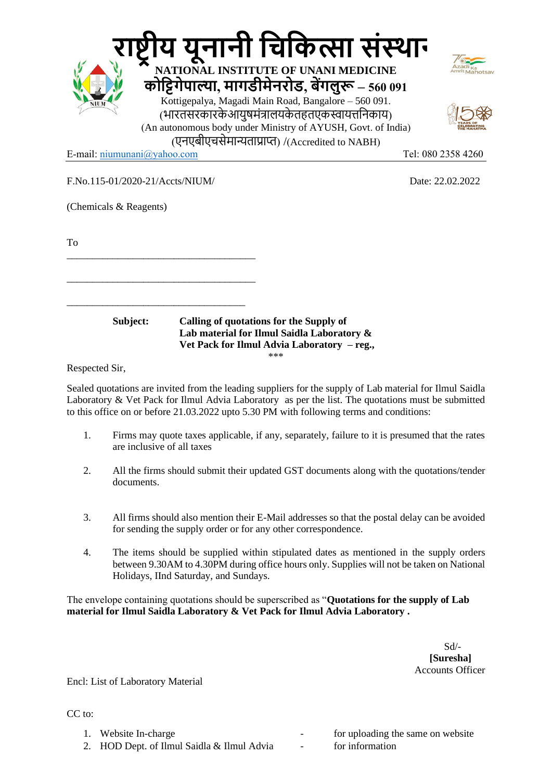|                                                                 | य यूनानी चिकित्सा संस्थान<br>NATIONAL INSTITUTE OF UNANI MEDICINE                                                                                                                                                                                                           |                    |
|-----------------------------------------------------------------|-----------------------------------------------------------------------------------------------------------------------------------------------------------------------------------------------------------------------------------------------------------------------------|--------------------|
| NIUM                                                            | कोट्टिगेपाल्या, मागडीमेनरोड, बेंगलुरू – 560 091<br>Kottigepalya, Magadi Main Road, Bangalore - 560 091.<br>(भारतसरकारकेआयुषमंत्रालयकेतहतएकस्वायत्तनिकाय)<br>(An autonomous body under Ministry of AYUSH, Govt. of India)<br>(एनएबीएचसेमान्यताप्राप्त) /(Accredited to NABH) |                    |
| E-mail: niumunani@yahoo.com                                     |                                                                                                                                                                                                                                                                             | Tel: 080 2358 4260 |
| F.No.115-01/2020-21/Accts/NIUM/<br>(Chemicals & Reagents)<br>To |                                                                                                                                                                                                                                                                             | Date: 22.02.2022   |
| Subject:                                                        | <b>Calling of quotations for the Supply of</b><br>Lab material for Ilmul Saidla Laboratory &<br>Vet Pack for Ilmul Advia Laboratory - reg.,<br>***                                                                                                                          |                    |
| Respected Sir                                                   |                                                                                                                                                                                                                                                                             |                    |

Respected Sir,

Sealed quotations are invited from the leading suppliers for the supply of Lab material for Ilmul Saidla Laboratory & Vet Pack for Ilmul Advia Laboratory as per the list. The quotations must be submitted to this office on or before 21.03.2022 upto 5.30 PM with following terms and conditions:

- 1. Firms may quote taxes applicable, if any, separately, failure to it is presumed that the rates are inclusive of all taxes
- 2. All the firms should submit their updated GST documents along with the quotations/tender documents.
- 3. All firms should also mention their E-Mail addresses so that the postal delay can be avoided for sending the supply order or for any other correspondence.
- 4. The items should be supplied within stipulated dates as mentioned in the supply orders between 9.30AM to 4.30PM during office hours only. Supplies will not be taken on National Holidays, IInd Saturday, and Sundays.

The envelope containing quotations should be superscribed as "**Quotations for the supply of Lab material for Ilmul Saidla Laboratory & Vet Pack for Ilmul Advia Laboratory .**

 Sd/-  **[Suresha]** Accounts Officer

Encl: List of Laboratory Material

CC to:

- 
- 2. HOD Dept. of Ilmul Saidla & Ilmul Advia for information

1. Website In-charge  $\qquad \qquad$  for uploading the same on website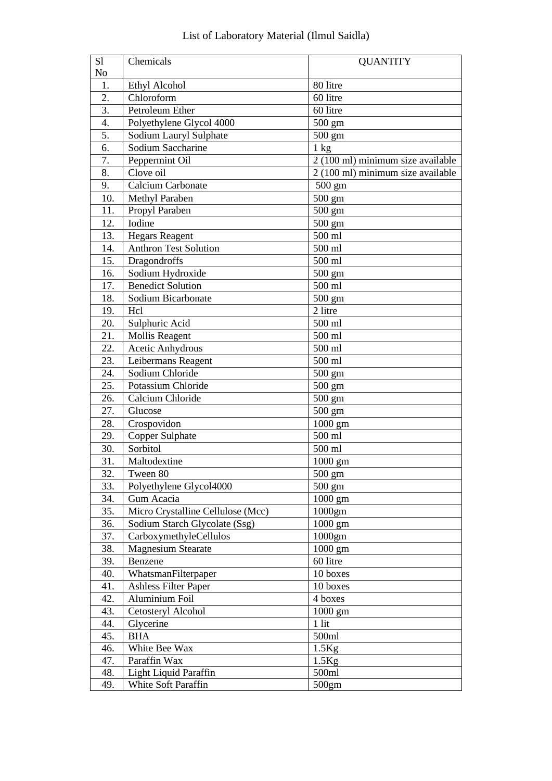| S1               | Chemicals                         | <b>QUANTITY</b>                   |
|------------------|-----------------------------------|-----------------------------------|
| No               |                                   |                                   |
| 1.               | Ethyl Alcohol                     | 80 litre                          |
| $\overline{2}$ . | Chloroform                        | 60 litre                          |
| 3.               | Petroleum Ether                   | 60 litre                          |
| $\overline{4}$ . | Polyethylene Glycol 4000          | 500 gm                            |
| 5.               | Sodium Lauryl Sulphate            | $500 \text{ gm}$                  |
| 6.               | Sodium Saccharine                 | $1 \text{ kg}$                    |
| 7.               | Peppermint Oil                    | 2 (100 ml) minimum size available |
| 8.               | Clove oil                         | 2 (100 ml) minimum size available |
| 9.               | <b>Calcium Carbonate</b>          | 500 gm                            |
| 10.              | Methyl Paraben                    | $500 \text{ gm}$                  |
| 11.              | Propyl Paraben                    | 500 gm                            |
| 12.              | Iodine                            | 500 gm                            |
| 13.              | <b>Hegars Reagent</b>             | 500 ml                            |
| 14.              | <b>Anthron Test Solution</b>      | 500 ml                            |
| 15.              | Dragondroffs                      | 500 ml                            |
| 16.              | Sodium Hydroxide                  | 500 gm                            |
| 17.              | <b>Benedict Solution</b>          | 500 ml                            |
| 18.              | Sodium Bicarbonate                | $500 \text{ gm}$                  |
| 19.              | Hcl                               | 2 litre                           |
| 20.              | Sulphuric Acid                    | 500 ml                            |
| 21.              | <b>Mollis Reagent</b>             | 500 ml                            |
| 22.              | Acetic Anhydrous                  | 500 ml                            |
| 23.              | Leibermans Reagent                | 500 ml                            |
| 24.              | Sodium Chloride                   | 500 gm                            |
| 25.              | Potassium Chloride                | $500 \text{ gm}$                  |
| 26.              | Calcium Chloride                  | $500 \text{ gm}$                  |
| 27.              | Glucose                           | $500 \text{ gm}$                  |
| 28.              | Crospovidon                       | 1000 gm                           |
| 29.              | Copper Sulphate                   | 500 ml                            |
| 30.              | Sorbitol                          | 500 ml                            |
| 31.              | Maltodextine                      | $1000$ gm                         |
| 32.              | Tween 80                          | 500 gm                            |
| 33.              | Polyethylene Glycol4000           | $500 \text{ gm}$                  |
| 34.              | Gum Acacia                        | $1000$ gm                         |
| 35.              | Micro Crystalline Cellulose (Mcc) | 1000gm                            |
| 36.              | Sodium Starch Glycolate (Ssg)     | 1000 gm                           |
| 37.              | CarboxymethyleCellulos            | $1000$ gm                         |
| 38.              | <b>Magnesium Stearate</b>         | $1000$ gm                         |
| 39.              | Benzene                           | 60 litre                          |
| 40.              | WhatsmanFilterpaper               | 10 boxes                          |
| 41.              | <b>Ashless Filter Paper</b>       | 10 boxes                          |
| 42.              | Aluminium Foil                    | 4 boxes                           |
| 43.              | Cetosteryl Alcohol                | $1000$ gm                         |
| 44.              | Glycerine                         | $1$ lit                           |
| 45.              | <b>BHA</b>                        | 500ml                             |
| 46.              | White Bee Wax                     | $1.5$ Kg                          |
| 47.              | Paraffin Wax                      | $1.5$ Kg                          |
| 48.              | Light Liquid Paraffin             | 500ml                             |
| 49.              | White Soft Paraffin               | 500gm                             |